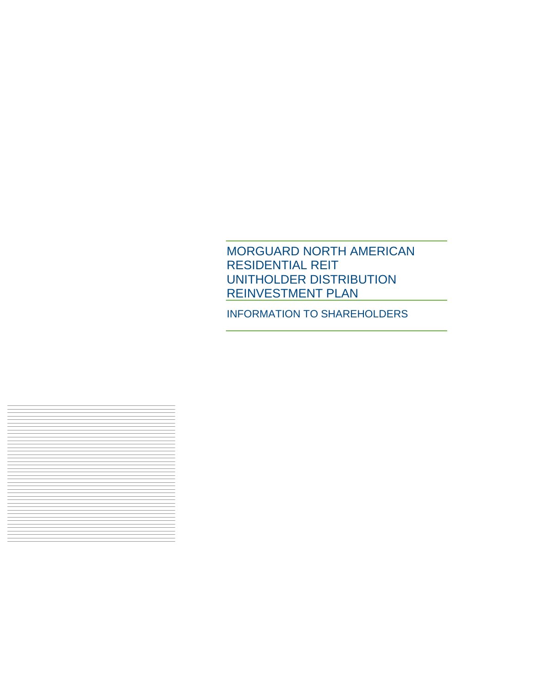## MORGUARD NORTH AMERICAN RESIDENTIAL REIT UNITHOLDER DISTRIBUTION REINVESTMENT PLAN

INFORMATION TO SHAREHOLDERS

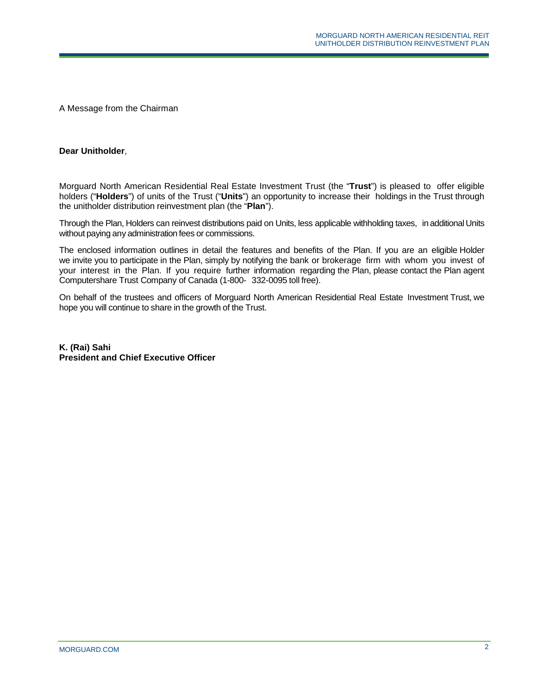A Message from the Chairman

#### **Dear Unitholder**,

Morguard North American Residential Real Estate Investment Trust (the "**Trust**") is pleased to offer eligible holders ("**Holders**") of units of the Trust ("**Units**") an opportunity to increase their holdings in the Trust through the unitholder distribution reinvestment plan (the "**Plan**").

Through the Plan, Holders can reinvest distributions paid on Units, less applicable withholding taxes, in additionalUnits without paying any administration fees or commissions.

The enclosed information outlines in detail the features and benefits of the Plan. If you are an eligible Holder we invite you to participate in the Plan, simply by notifying the bank or brokerage firm with whom you invest of your interest in the Plan. If you require further information regarding the Plan, please contact the Plan agent Computershare Trust Company of Canada (1-800- 332-0095 toll free).

On behalf of the trustees and officers of Morguard North American Residential Real Estate Investment Trust, we hope you will continue to share in the growth of the Trust.

**K. (Rai) Sahi President and Chief Executive Officer**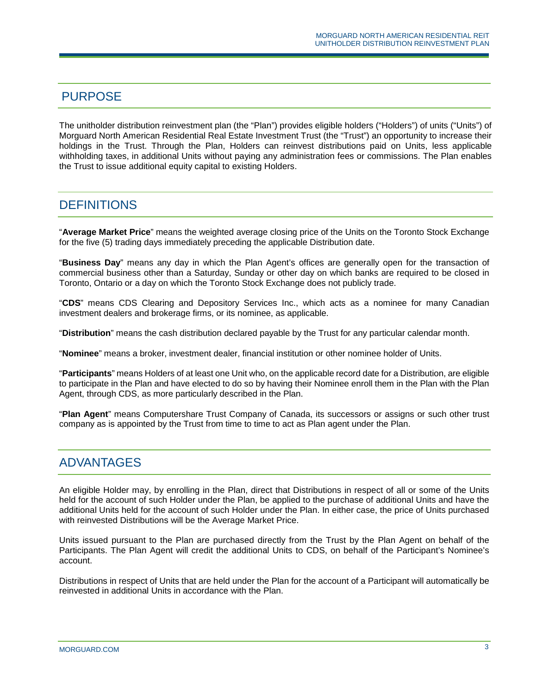#### PURPOSE

The unitholder distribution reinvestment plan (the "Plan") provides eligible holders ("Holders") of units ("Units") of Morguard North American Residential Real Estate Investment Trust (the "Trust") an opportunity to increase their holdings in the Trust. Through the Plan, Holders can reinvest distributions paid on Units, less applicable withholding taxes, in additional Units without paying any administration fees or commissions. The Plan enables the Trust to issue additional equity capital to existing Holders.

#### **DEFINITIONS**

"**Average Market Price**" means the weighted average closing price of the Units on the Toronto Stock Exchange for the five (5) trading days immediately preceding the applicable Distribution date.

"**Business Day**" means any day in which the Plan Agent's offices are generally open for the transaction of commercial business other than a Saturday, Sunday or other day on which banks are required to be closed in Toronto, Ontario or a day on which the Toronto Stock Exchange does not publicly trade.

"**CDS**" means CDS Clearing and Depository Services Inc., which acts as a nominee for many Canadian investment dealers and brokerage firms, or its nominee, as applicable.

"**Distribution**" means the cash distribution declared payable by the Trust for any particular calendar month.

"**Nominee**" means a broker, investment dealer, financial institution or other nominee holder of Units.

"**Participants**" means Holders of at least one Unit who, on the applicable record date for a Distribution, are eligible to participate in the Plan and have elected to do so by having their Nominee enroll them in the Plan with the Plan Agent, through CDS, as more particularly described in the Plan.

"**Plan Agent**" means Computershare Trust Company of Canada, its successors or assigns or such other trust company as is appointed by the Trust from time to time to act as Plan agent under the Plan.

#### ADVANTAGES

An eligible Holder may, by enrolling in the Plan, direct that Distributions in respect of all or some of the Units held for the account of such Holder under the Plan, be applied to the purchase of additional Units and have the additional Units held for the account of such Holder under the Plan. In either case, the price of Units purchased with reinvested Distributions will be the Average Market Price.

Units issued pursuant to the Plan are purchased directly from the Trust by the Plan Agent on behalf of the Participants. The Plan Agent will credit the additional Units to CDS, on behalf of the Participant's Nominee's account.

Distributions in respect of Units that are held under the Plan for the account of a Participant will automatically be reinvested in additional Units in accordance with the Plan.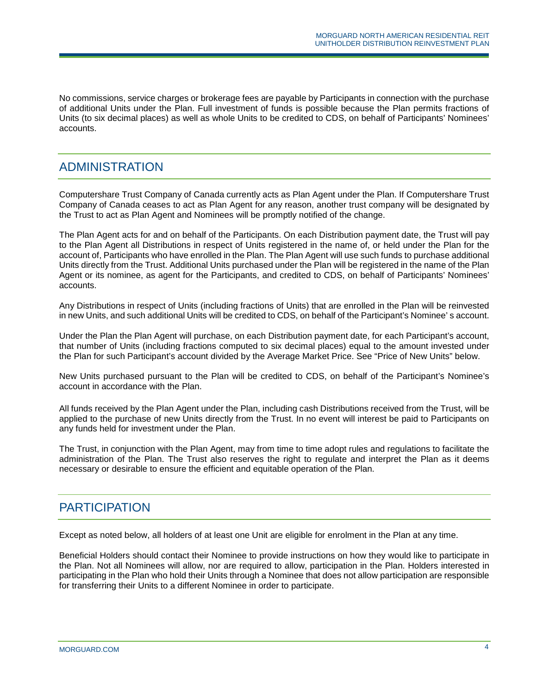No commissions, service charges or brokerage fees are payable by Participants in connection with the purchase of additional Units under the Plan. Full investment of funds is possible because the Plan permits fractions of Units (to six decimal places) as well as whole Units to be credited to CDS, on behalf of Participants' Nominees' accounts.

#### ADMINISTRATION

Computershare Trust Company of Canada currently acts as Plan Agent under the Plan. If Computershare Trust Company of Canada ceases to act as Plan Agent for any reason, another trust company will be designated by the Trust to act as Plan Agent and Nominees will be promptly notified of the change.

The Plan Agent acts for and on behalf of the Participants. On each Distribution payment date, the Trust will pay to the Plan Agent all Distributions in respect of Units registered in the name of, or held under the Plan for the account of, Participants who have enrolled in the Plan. The Plan Agent will use such funds to purchase additional Units directly from the Trust. Additional Units purchased under the Plan will be registered in the name of the Plan Agent or its nominee, as agent for the Participants, and credited to CDS, on behalf of Participants' Nominees' accounts.

Any Distributions in respect of Units (including fractions of Units) that are enrolled in the Plan will be reinvested in new Units, and such additional Units will be credited to CDS, on behalf of the Participant's Nominee' s account.

Under the Plan the Plan Agent will purchase, on each Distribution payment date, for each Participant's account, that number of Units (including fractions computed to six decimal places) equal to the amount invested under the Plan for such Participant's account divided by the Average Market Price. See "Price of New Units" below.

New Units purchased pursuant to the Plan will be credited to CDS, on behalf of the Participant's Nominee's account in accordance with the Plan.

All funds received by the Plan Agent under the Plan, including cash Distributions received from the Trust, will be applied to the purchase of new Units directly from the Trust. In no event will interest be paid to Participants on any funds held for investment under the Plan.

The Trust, in conjunction with the Plan Agent, may from time to time adopt rules and regulations to facilitate the administration of the Plan. The Trust also reserves the right to regulate and interpret the Plan as it deems necessary or desirable to ensure the efficient and equitable operation of the Plan.

## **PARTICIPATION**

Except as noted below, all holders of at least one Unit are eligible for enrolment in the Plan at any time.

Beneficial Holders should contact their Nominee to provide instructions on how they would like to participate in the Plan. Not all Nominees will allow, nor are required to allow, participation in the Plan. Holders interested in participating in the Plan who hold their Units through a Nominee that does not allow participation are responsible for transferring their Units to a different Nominee in order to participate.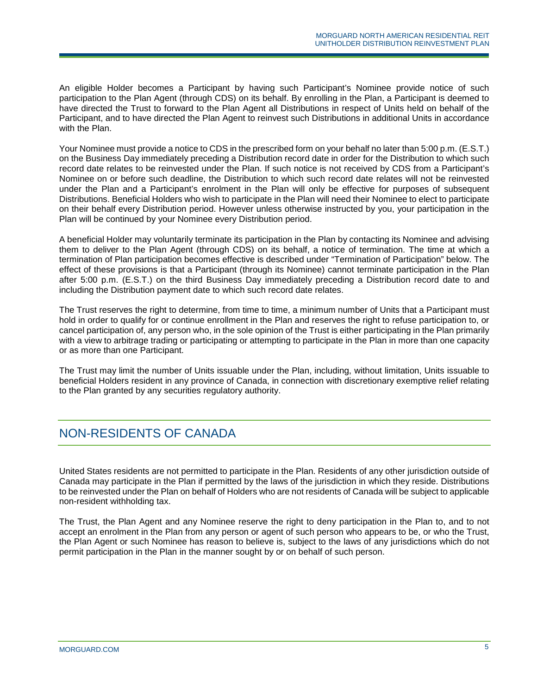An eligible Holder becomes a Participant by having such Participant's Nominee provide notice of such participation to the Plan Agent (through CDS) on its behalf. By enrolling in the Plan, a Participant is deemed to have directed the Trust to forward to the Plan Agent all Distributions in respect of Units held on behalf of the Participant, and to have directed the Plan Agent to reinvest such Distributions in additional Units in accordance with the Plan.

Your Nominee must provide a notice to CDS in the prescribed form on your behalf no later than 5:00 p.m. (E.S.T.) on the Business Day immediately preceding a Distribution record date in order for the Distribution to which such record date relates to be reinvested under the Plan. If such notice is not received by CDS from a Participant's Nominee on or before such deadline, the Distribution to which such record date relates will not be reinvested under the Plan and a Participant's enrolment in the Plan will only be effective for purposes of subsequent Distributions. Beneficial Holders who wish to participate in the Plan will need their Nominee to elect to participate on their behalf every Distribution period. However unless otherwise instructed by you, your participation in the Plan will be continued by your Nominee every Distribution period.

A beneficial Holder may voluntarily terminate its participation in the Plan by contacting its Nominee and advising them to deliver to the Plan Agent (through CDS) on its behalf, a notice of termination. The time at which a termination of Plan participation becomes effective is described under "Termination of Participation" below. The effect of these provisions is that a Participant (through its Nominee) cannot terminate participation in the Plan after 5:00 p.m. (E.S.T.) on the third Business Day immediately preceding a Distribution record date to and including the Distribution payment date to which such record date relates.

The Trust reserves the right to determine, from time to time, a minimum number of Units that a Participant must hold in order to qualify for or continue enrollment in the Plan and reserves the right to refuse participation to, or cancel participation of, any person who, in the sole opinion of the Trust is either participating in the Plan primarily with a view to arbitrage trading or participating or attempting to participate in the Plan in more than one capacity or as more than one Participant.

The Trust may limit the number of Units issuable under the Plan, including, without limitation, Units issuable to beneficial Holders resident in any province of Canada, in connection with discretionary exemptive relief relating to the Plan granted by any securities regulatory authority.

### NON-RESIDENTS OF CANADA

United States residents are not permitted to participate in the Plan. Residents of any other jurisdiction outside of Canada may participate in the Plan if permitted by the laws of the jurisdiction in which they reside. Distributions to be reinvested under the Plan on behalf of Holders who are not residents of Canada will be subject to applicable non-resident withholding tax.

The Trust, the Plan Agent and any Nominee reserve the right to deny participation in the Plan to, and to not accept an enrolment in the Plan from any person or agent of such person who appears to be, or who the Trust, the Plan Agent or such Nominee has reason to believe is, subject to the laws of any jurisdictions which do not permit participation in the Plan in the manner sought by or on behalf of such person.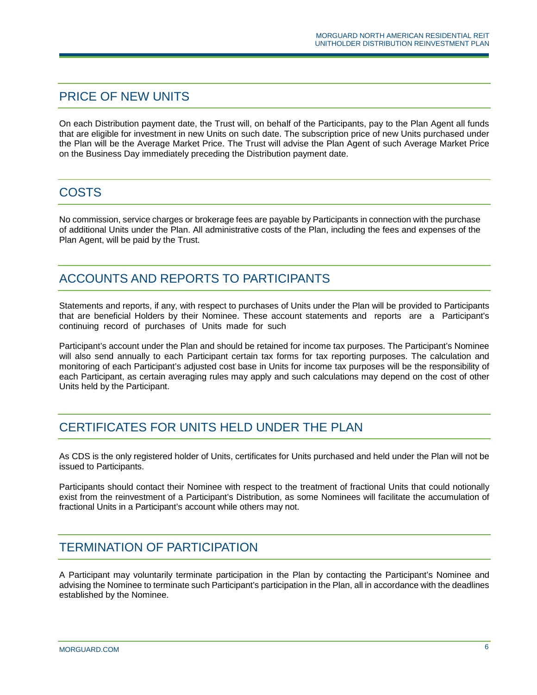#### PRICE OF NEW UNITS

On each Distribution payment date, the Trust will, on behalf of the Participants, pay to the Plan Agent all funds that are eligible for investment in new Units on such date. The subscription price of new Units purchased under the Plan will be the Average Market Price. The Trust will advise the Plan Agent of such Average Market Price on the Business Day immediately preceding the Distribution payment date.

## **COSTS**

No commission, service charges or brokerage fees are payable by Participants in connection with the purchase of additional Units under the Plan. All administrative costs of the Plan, including the fees and expenses of the Plan Agent, will be paid by the Trust.

## ACCOUNTS AND REPORTS TO PARTICIPANTS

Statements and reports, if any, with respect to purchases of Units under the Plan will be provided to Participants that are beneficial Holders by their Nominee. These account statements and reports are a Participant's continuing record of purchases of Units made for such

Participant's account under the Plan and should be retained for income tax purposes. The Participant's Nominee will also send annually to each Participant certain tax forms for tax reporting purposes. The calculation and monitoring of each Participant's adjusted cost base in Units for income tax purposes will be the responsibility of each Participant, as certain averaging rules may apply and such calculations may depend on the cost of other Units held by the Participant.

### CERTIFICATES FOR UNITS HELD UNDER THE PLAN

As CDS is the only registered holder of Units, certificates for Units purchased and held under the Plan will not be issued to Participants.

Participants should contact their Nominee with respect to the treatment of fractional Units that could notionally exist from the reinvestment of a Participant's Distribution, as some Nominees will facilitate the accumulation of fractional Units in a Participant's account while others may not.

### TERMINATION OF PARTICIPATION

A Participant may voluntarily terminate participation in the Plan by contacting the Participant's Nominee and advising the Nominee to terminate such Participant's participation in the Plan, all in accordance with the deadlines established by the Nominee.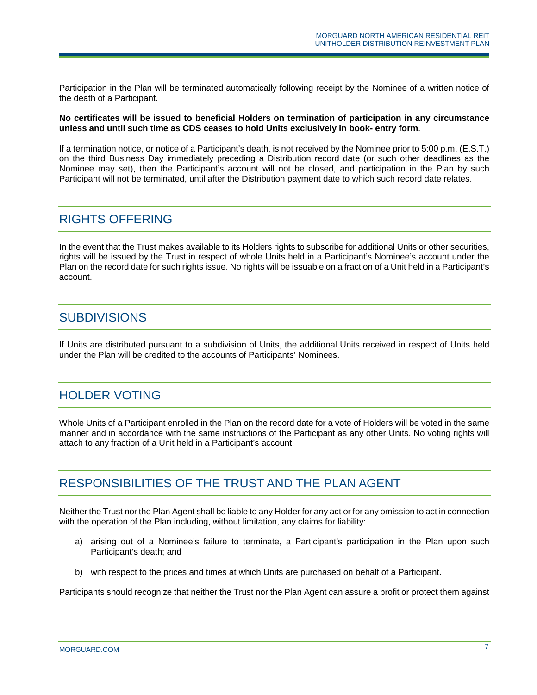Participation in the Plan will be terminated automatically following receipt by the Nominee of a written notice of the death of a Participant.

**No certificates will be issued to beneficial Holders on termination of participation in any circumstance unless and until such time as CDS ceases to hold Units exclusively in book- entry form**.

If a termination notice, or notice of a Participant's death, is not received by the Nominee prior to 5:00 p.m. (E.S.T.) on the third Business Day immediately preceding a Distribution record date (or such other deadlines as the Nominee may set), then the Participant's account will not be closed, and participation in the Plan by such Participant will not be terminated, until after the Distribution payment date to which such record date relates.

#### RIGHTS OFFERING

In the event that the Trust makes available to its Holders rights to subscribe for additional Units or other securities, rights will be issued by the Trust in respect of whole Units held in a Participant's Nominee's account under the Plan on the record date for such rights issue. No rights will be issuable on a fraction of a Unit held in a Participant's account.

#### **SUBDIVISIONS**

If Units are distributed pursuant to a subdivision of Units, the additional Units received in respect of Units held under the Plan will be credited to the accounts of Participants' Nominees.

#### HOLDER VOTING

Whole Units of a Participant enrolled in the Plan on the record date for a vote of Holders will be voted in the same manner and in accordance with the same instructions of the Participant as any other Units. No voting rights will attach to any fraction of a Unit held in a Participant's account.

### RESPONSIBILITIES OF THE TRUST AND THE PLAN AGENT

Neither the Trust nor the Plan Agent shall be liable to any Holder for any act or for any omission to act in connection with the operation of the Plan including, without limitation, any claims for liability:

- a) arising out of a Nominee's failure to terminate, a Participant's participation in the Plan upon such Participant's death; and
- b) with respect to the prices and times at which Units are purchased on behalf of a Participant.

Participants should recognize that neither the Trust nor the Plan Agent can assure a profit or protect them against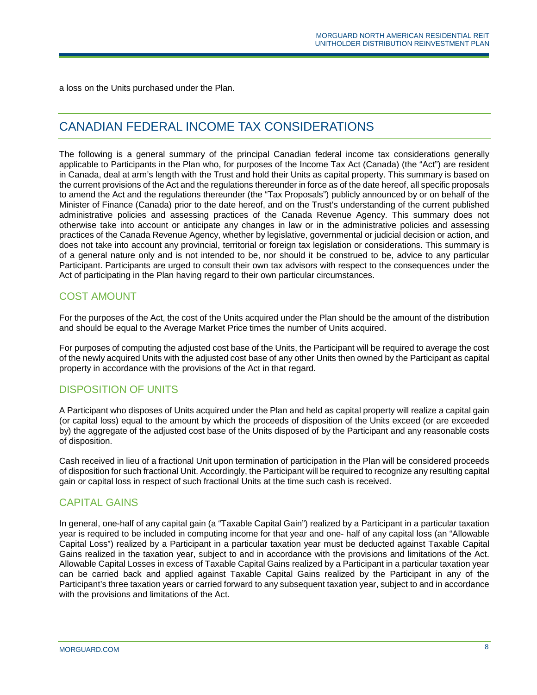a loss on the Units purchased under the Plan.

## CANADIAN FEDERAL INCOME TAX CONSIDERATIONS

The following is a general summary of the principal Canadian federal income tax considerations generally applicable to Participants in the Plan who, for purposes of the Income Tax Act (Canada) (the "Act") are resident in Canada, deal at arm's length with the Trust and hold their Units as capital property. This summary is based on the current provisions of the Act and the regulations thereunder in force as of the date hereof, all specific proposals to amend the Act and the regulations thereunder (the "Tax Proposals") publicly announced by or on behalf of the Minister of Finance (Canada) prior to the date hereof, and on the Trust's understanding of the current published administrative policies and assessing practices of the Canada Revenue Agency. This summary does not otherwise take into account or anticipate any changes in law or in the administrative policies and assessing practices of the Canada Revenue Agency, whether by legislative, governmental or judicial decision or action, and does not take into account any provincial, territorial or foreign tax legislation or considerations. This summary is of a general nature only and is not intended to be, nor should it be construed to be, advice to any particular Participant. Participants are urged to consult their own tax advisors with respect to the consequences under the Act of participating in the Plan having regard to their own particular circumstances.

#### COST AMOUNT

For the purposes of the Act, the cost of the Units acquired under the Plan should be the amount of the distribution and should be equal to the Average Market Price times the number of Units acquired.

For purposes of computing the adjusted cost base of the Units, the Participant will be required to average the cost of the newly acquired Units with the adjusted cost base of any other Units then owned by the Participant as capital property in accordance with the provisions of the Act in that regard.

#### DISPOSITION OF UNITS

A Participant who disposes of Units acquired under the Plan and held as capital property will realize a capital gain (or capital loss) equal to the amount by which the proceeds of disposition of the Units exceed (or are exceeded by) the aggregate of the adjusted cost base of the Units disposed of by the Participant and any reasonable costs of disposition.

Cash received in lieu of a fractional Unit upon termination of participation in the Plan will be considered proceeds of disposition for such fractional Unit. Accordingly, the Participant will be required to recognize any resulting capital gain or capital loss in respect of such fractional Units at the time such cash is received.

#### CAPITAL GAINS

In general, one-half of any capital gain (a "Taxable Capital Gain") realized by a Participant in a particular taxation year is required to be included in computing income for that year and one- half of any capital loss (an "Allowable Capital Loss") realized by a Participant in a particular taxation year must be deducted against Taxable Capital Gains realized in the taxation year, subject to and in accordance with the provisions and limitations of the Act. Allowable Capital Losses in excess of Taxable Capital Gains realized by a Participant in a particular taxation year can be carried back and applied against Taxable Capital Gains realized by the Participant in any of the Participant's three taxation years or carried forward to any subsequent taxation year, subject to and in accordance with the provisions and limitations of the Act.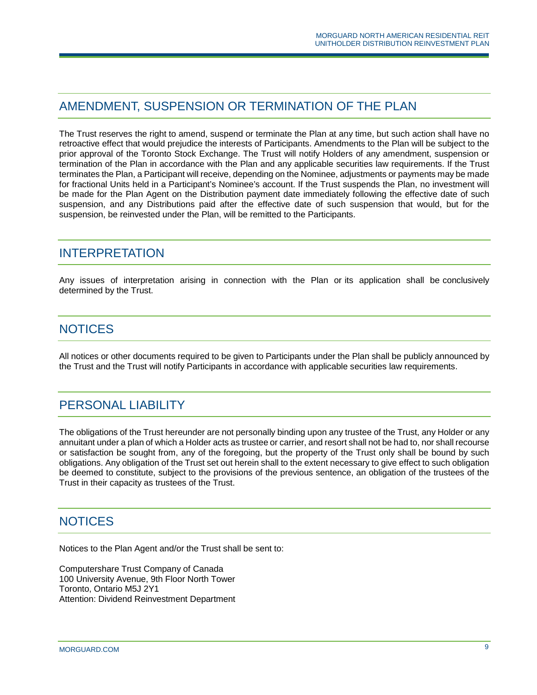## AMENDMENT, SUSPENSION OR TERMINATION OF THE PLAN

The Trust reserves the right to amend, suspend or terminate the Plan at any time, but such action shall have no retroactive effect that would prejudice the interests of Participants. Amendments to the Plan will be subject to the prior approval of the Toronto Stock Exchange. The Trust will notify Holders of any amendment, suspension or termination of the Plan in accordance with the Plan and any applicable securities law requirements. If the Trust terminates the Plan, a Participant will receive, depending on the Nominee, adjustments or payments may be made for fractional Units held in a Participant's Nominee's account. If the Trust suspends the Plan, no investment will be made for the Plan Agent on the Distribution payment date immediately following the effective date of such suspension, and any Distributions paid after the effective date of such suspension that would, but for the suspension, be reinvested under the Plan, will be remitted to the Participants.

#### INTERPRETATION

Any issues of interpretation arising in connection with the Plan or its application shall be conclusively determined by the Trust.

### **NOTICES**

All notices or other documents required to be given to Participants under the Plan shall be publicly announced by the Trust and the Trust will notify Participants in accordance with applicable securities law requirements.

## PERSONAL LIABILITY

The obligations of the Trust hereunder are not personally binding upon any trustee of the Trust, any Holder or any annuitant under a plan of which a Holder acts as trustee or carrier, and resort shall not be had to, nor shall recourse or satisfaction be sought from, any of the foregoing, but the property of the Trust only shall be bound by such obligations. Any obligation of the Trust set out herein shall to the extent necessary to give effect to such obligation be deemed to constitute, subject to the provisions of the previous sentence, an obligation of the trustees of the Trust in their capacity as trustees of the Trust.

#### **NOTICES**

Notices to the Plan Agent and/or the Trust shall be sent to:

Computershare Trust Company of Canada 100 University Avenue, 9th Floor North Tower Toronto, Ontario M5J 2Y1 Attention: Dividend Reinvestment Department